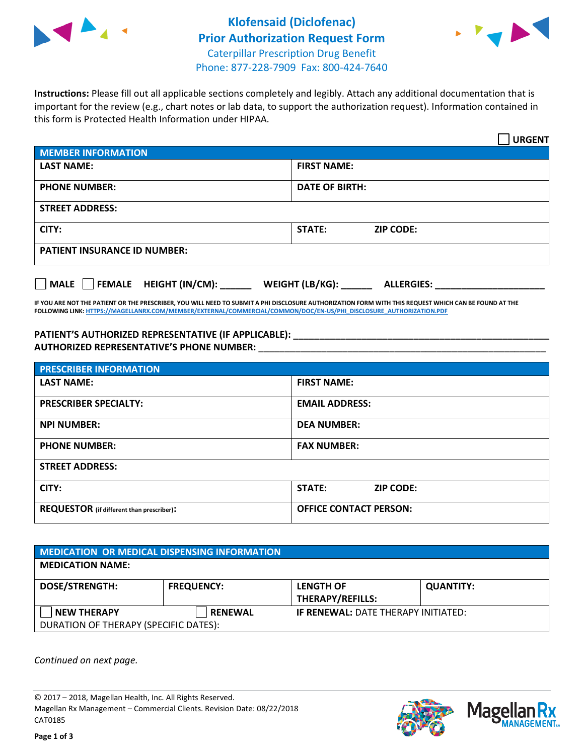



**Instructions:** Please fill out all applicable sections completely and legibly. Attach any additional documentation that is important for the review (e.g., chart notes or lab data, to support the authorization request). Information contained in this form is Protected Health Information under HIPAA.

|                                     | <b>URGENT</b>                        |  |  |  |
|-------------------------------------|--------------------------------------|--|--|--|
| <b>MEMBER INFORMATION</b>           |                                      |  |  |  |
| <b>LAST NAME:</b>                   | <b>FIRST NAME:</b>                   |  |  |  |
| <b>PHONE NUMBER:</b>                | <b>DATE OF BIRTH:</b>                |  |  |  |
| <b>STREET ADDRESS:</b>              |                                      |  |  |  |
| CITY:                               | STATE:<br><b>ZIP CODE:</b>           |  |  |  |
| <b>PATIENT INSURANCE ID NUMBER:</b> |                                      |  |  |  |
| FEMALE HEIGHT (IN/CM):<br>  MALE    | WEIGHT (LB/KG):<br><b>ALLERGIES:</b> |  |  |  |

**IF YOU ARE NOT THE PATIENT OR THE PRESCRIBER, YOU WILL NEED TO SUBMIT A PHI DISCLOSURE AUTHORIZATION FORM WITH THIS REQUEST WHICH CAN BE FOUND AT THE FOLLOWING LINK[: HTTPS://MAGELLANRX.COM/MEMBER/EXTERNAL/COMMERCIAL/COMMON/DOC/EN-US/PHI\\_DISCLOSURE\\_AUTHORIZATION.PDF](https://magellanrx.com/member/external/commercial/common/doc/en-us/PHI_Disclosure_Authorization.pdf)**

**PATIENT'S AUTHORIZED REPRESENTATIVE (IF APPLICABLE): \_\_\_\_\_\_\_\_\_\_\_\_\_\_\_\_\_\_\_\_\_\_\_\_\_\_\_\_\_\_\_\_\_\_\_\_\_\_\_\_\_\_\_\_\_\_\_\_\_ AUTHORIZED REPRESENTATIVE'S PHONE NUMBER:** \_\_\_\_\_\_\_\_\_\_\_\_\_\_\_\_\_\_\_\_\_\_\_\_\_\_\_\_\_\_\_\_\_\_\_\_\_\_\_\_\_\_\_\_\_\_\_\_\_\_\_\_\_\_\_

| <b>PRESCRIBER INFORMATION</b>             |                               |  |  |  |
|-------------------------------------------|-------------------------------|--|--|--|
| <b>LAST NAME:</b>                         | <b>FIRST NAME:</b>            |  |  |  |
| <b>PRESCRIBER SPECIALTY:</b>              | <b>EMAIL ADDRESS:</b>         |  |  |  |
| <b>NPI NUMBER:</b>                        | <b>DEA NUMBER:</b>            |  |  |  |
| <b>PHONE NUMBER:</b>                      | <b>FAX NUMBER:</b>            |  |  |  |
| <b>STREET ADDRESS:</b>                    |                               |  |  |  |
| CITY:                                     | STATE:<br><b>ZIP CODE:</b>    |  |  |  |
| REQUESTOR (if different than prescriber): | <b>OFFICE CONTACT PERSON:</b> |  |  |  |

| <b>MEDICATION OR MEDICAL DISPENSING INFORMATION</b> |                   |                                            |                  |  |  |
|-----------------------------------------------------|-------------------|--------------------------------------------|------------------|--|--|
| <b>MEDICATION NAME:</b>                             |                   |                                            |                  |  |  |
| <b>DOSE/STRENGTH:</b>                               | <b>FREQUENCY:</b> | <b>LENGTH OF</b>                           | <b>QUANTITY:</b> |  |  |
|                                                     |                   | <b>THERAPY/REFILLS:</b>                    |                  |  |  |
| <b>NEW THERAPY</b>                                  | <b>RENEWAL</b>    | <b>IF RENEWAL: DATE THERAPY INITIATED:</b> |                  |  |  |
| DURATION OF THERAPY (SPECIFIC DATES):               |                   |                                            |                  |  |  |

*Continued on next page.*

© 2017 – 2018, Magellan Health, Inc. All Rights Reserved. Magellan Rx Management – Commercial Clients. Revision Date: 08/22/2018 CAT0185



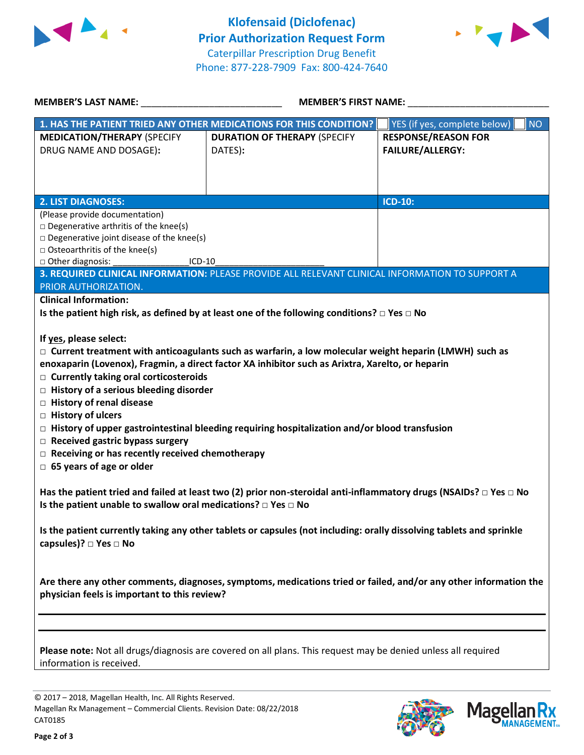



| MEMBER'S LAST NAME: NAME:                                                                                                                                                                                                                                                                                                                                                                                                                                                                                                                                                                                                                            | <b>MEMBER'S FIRST NAME:</b>                                                                     |                                                       |  |  |
|------------------------------------------------------------------------------------------------------------------------------------------------------------------------------------------------------------------------------------------------------------------------------------------------------------------------------------------------------------------------------------------------------------------------------------------------------------------------------------------------------------------------------------------------------------------------------------------------------------------------------------------------------|-------------------------------------------------------------------------------------------------|-------------------------------------------------------|--|--|
|                                                                                                                                                                                                                                                                                                                                                                                                                                                                                                                                                                                                                                                      | 1. HAS THE PATIENT TRIED ANY OTHER MEDICATIONS FOR THIS CONDITION?                              | YES (if yes, complete below)<br><b>NO</b>             |  |  |
| <b>MEDICATION/THERAPY (SPECIFY</b><br>DRUG NAME AND DOSAGE):                                                                                                                                                                                                                                                                                                                                                                                                                                                                                                                                                                                         | <b>DURATION OF THERAPY (SPECIFY</b><br>DATES):                                                  | <b>RESPONSE/REASON FOR</b><br><b>FAILURE/ALLERGY:</b> |  |  |
|                                                                                                                                                                                                                                                                                                                                                                                                                                                                                                                                                                                                                                                      |                                                                                                 |                                                       |  |  |
| <b>2. LIST DIAGNOSES:</b>                                                                                                                                                                                                                                                                                                                                                                                                                                                                                                                                                                                                                            |                                                                                                 | <b>ICD-10:</b>                                        |  |  |
| (Please provide documentation)<br>$\square$ Degenerative arthritis of the knee(s)<br>$\square$ Degenerative joint disease of the knee(s)<br>$\Box$ Osteoarthritis of the knee(s)<br>□ Other diagnosis:<br>$ICD-10$                                                                                                                                                                                                                                                                                                                                                                                                                                   |                                                                                                 |                                                       |  |  |
|                                                                                                                                                                                                                                                                                                                                                                                                                                                                                                                                                                                                                                                      | 3. REQUIRED CLINICAL INFORMATION: PLEASE PROVIDE ALL RELEVANT CLINICAL INFORMATION TO SUPPORT A |                                                       |  |  |
| PRIOR AUTHORIZATION.                                                                                                                                                                                                                                                                                                                                                                                                                                                                                                                                                                                                                                 |                                                                                                 |                                                       |  |  |
| <b>Clinical Information:</b><br>Is the patient high risk, as defined by at least one of the following conditions? $\Box$ Yes $\Box$ No                                                                                                                                                                                                                                                                                                                                                                                                                                                                                                               |                                                                                                 |                                                       |  |  |
| If yes, please select:<br>$\Box$ Current treatment with anticoagulants such as warfarin, a low molecular weight heparin (LMWH) such as<br>enoxaparin (Lovenox), Fragmin, a direct factor XA inhibitor such as Arixtra, Xarelto, or heparin<br>$\Box$ Currently taking oral corticosteroids<br>$\Box$ History of a serious bleeding disorder<br>□ History of renal disease<br>$\Box$ History of ulcers<br>$\Box$ History of upper gastrointestinal bleeding requiring hospitalization and/or blood transfusion<br>$\Box$ Received gastric bypass surgery<br>$\Box$ Receiving or has recently received chemotherapy<br>$\Box$ 65 years of age or older |                                                                                                 |                                                       |  |  |
| Has the patient tried and failed at least two (2) prior non-steroidal anti-inflammatory drugs (NSAIDs? $\Box$ Yes $\Box$ No<br>Is the patient unable to swallow oral medications? $\Box$ Yes $\Box$ No                                                                                                                                                                                                                                                                                                                                                                                                                                               |                                                                                                 |                                                       |  |  |
| Is the patient currently taking any other tablets or capsules (not including: orally dissolving tablets and sprinkle<br>capsules)? $\Box$ Yes $\Box$ No                                                                                                                                                                                                                                                                                                                                                                                                                                                                                              |                                                                                                 |                                                       |  |  |
| Are there any other comments, diagnoses, symptoms, medications tried or failed, and/or any other information the<br>physician feels is important to this review?                                                                                                                                                                                                                                                                                                                                                                                                                                                                                     |                                                                                                 |                                                       |  |  |
| Please note: Not all drugs/diagnosis are covered on all plans. This request may be denied unless all required<br>information is received.                                                                                                                                                                                                                                                                                                                                                                                                                                                                                                            |                                                                                                 |                                                       |  |  |

© 2017 – 2018, Magellan Health, Inc. All Rights Reserved. Magellan Rx Management – Commercial Clients. Revision Date: 08/22/2018 CAT0185



**Magella** 

**MANAGEMENT**<sub>SM</sub>